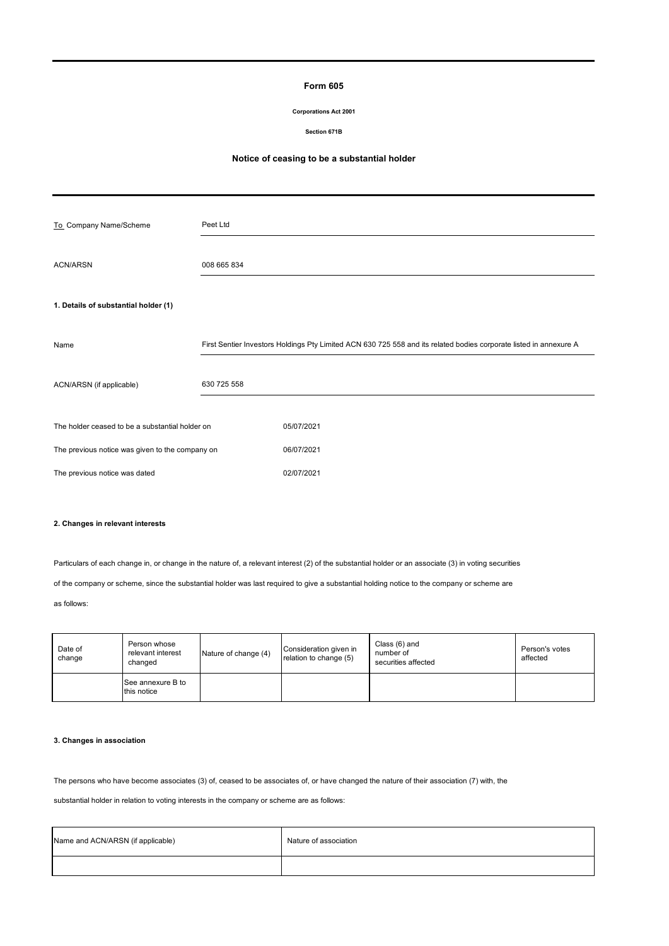## **Form 605**

#### **Corporations Act 2001**

**Section 671B**

# **Notice of ceasing to be a substantial holder**

| To_Company Name/Scheme                          | Peet Ltd    |                                                                                                                    |
|-------------------------------------------------|-------------|--------------------------------------------------------------------------------------------------------------------|
| <b>ACN/ARSN</b>                                 | 008 665 834 |                                                                                                                    |
| 1. Details of substantial holder (1)            |             |                                                                                                                    |
| Name                                            |             | First Sentier Investors Holdings Pty Limited ACN 630 725 558 and its related bodies corporate listed in annexure A |
| ACN/ARSN (if applicable)                        | 630 725 558 |                                                                                                                    |
| The holder ceased to be a substantial holder on |             | 05/07/2021                                                                                                         |
| The previous notice was given to the company on |             | 06/07/2021                                                                                                         |
| The previous notice was dated                   |             | 02/07/2021                                                                                                         |

## **2. Changes in relevant interests**

Particulars of each change in, or change in the nature of, a relevant interest (2) of the substantial holder or an associate (3) in voting securities

of the company or scheme, since the substantial holder was last required to give a substantial holding notice to the company or scheme are

as follows:

| Date of<br>change | Person whose<br>relevant interest<br>changed | Nature of change (4) | Consideration given in<br>relation to change (5) | Class (6) and<br>number of<br>securities affected | Person's votes<br>affected |  |
|-------------------|----------------------------------------------|----------------------|--------------------------------------------------|---------------------------------------------------|----------------------------|--|
|                   | See annexure B to<br>this notice             |                      |                                                  |                                                   |                            |  |

### **3. Changes in association**

The persons who have become associates (3) of, ceased to be associates of, or have changed the nature of their association (7) with, the

substantial holder in relation to voting interests in the company or scheme are as follows:

| Name and ACN/ARSN (if applicable) | Nature of association |  |  |
|-----------------------------------|-----------------------|--|--|
|                                   |                       |  |  |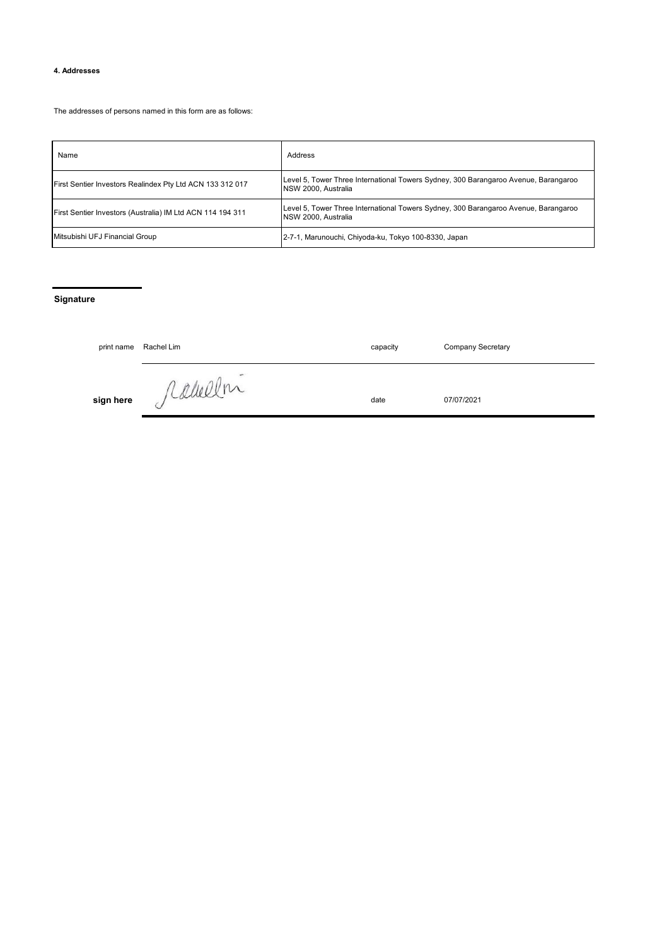# **4. Addresses**

The addresses of persons named in this form are as follows:

| Name                                                       | Address                                                                                                           |
|------------------------------------------------------------|-------------------------------------------------------------------------------------------------------------------|
| First Sentier Investors Realindex Pty Ltd ACN 133 312 017  | Level 5, Tower Three International Towers Sydney, 300 Barangaroo Avenue, Barangaroo<br>NSW 2000, Australia        |
| First Sentier Investors (Australia) IM Ltd ACN 114 194 311 | Level 5, Tower Three International Towers Sydney, 300 Barangaroo Avenue, Barangaroo<br><b>NSW 2000. Australia</b> |
| Mitsubishi UFJ Financial Group                             | 2-7-1, Marunouchi, Chiyoda-ku, Tokyo 100-8330, Japan                                                              |

## **Signature**

| print name | Rachel Lim | capacity | <b>Company Secretary</b> |
|------------|------------|----------|--------------------------|
| sign here  | jeannex    | date     | 07/07/2021               |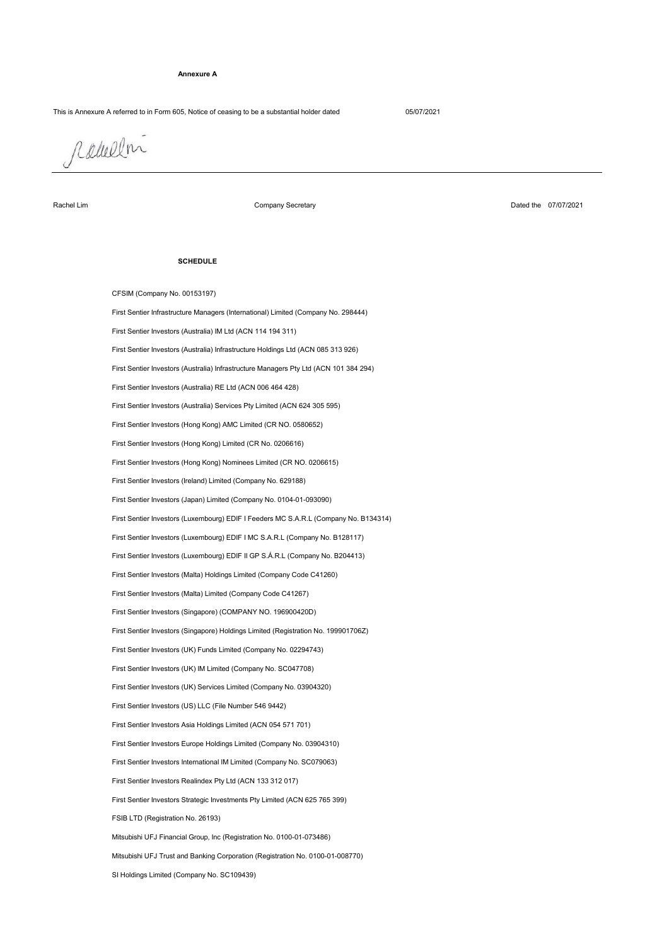#### **Annexure A**

## This is Annexure A referred to in Form 605, Notice of ceasing to be a substantial holder dated 05/07/2021

radullni

Rachel Lim

Company Secretary

Dated the 07/07/2021

#### **SCHEDULE**

Mitsubishi UFJ Trust and Banking Corporation (Registration No. 0100-01-008770) FSIB LTD (Registration No. 26193) First Sentier Investors Strategic Investments Pty Limited (ACN 625 765 399) First Sentier Investors Realindex Pty Ltd (ACN 133 312 017) First Sentier Investors International IM Limited (Company No. SC079063) First Sentier Investors Europe Holdings Limited (Company No. 03904310) First Sentier Investors Asia Holdings Limited (ACN 054 571 701) Mitsubishi UFJ Financial Group, Inc (Registration No. 0100-01-073486) First Sentier Investors (UK) Funds Limited (Company No. 02294743) First Sentier Investors (UK) IM Limited (Company No. SC047708) First Sentier Investors (UK) Services Limited (Company No. 03904320) First Sentier Investors (US) LLC (File Number 546 9442) First Sentier Investors (Malta) Limited (Company Code C41267) First Sentier Investors (Malta) Holdings Limited (Company Code C41260) First Sentier Investors (Singapore) Holdings Limited (Registration No. 199901706Z) First Sentier Investors (Singapore) (COMPANY NO. 196900420D) CFSIM (Company No. 00153197) First Sentier Investors (Luxembourg) EDIF I MC S.A.R.L (Company No. B128117) First Sentier Investors (Luxembourg) EDIF II GP S.Á.R.L (Company No. B204413) First Sentier Investors (Japan) Limited (Company No. 0104-01-093090) First Sentier Infrastructure Managers (International) Limited (Company No. 298444) First Sentier Investors (Australia) IM Ltd (ACN 114 194 311) First Sentier Investors (Luxembourg) EDIF I Feeders MC S.A.R.L (Company No. B134314) First Sentier Investors (Ireland) Limited (Company No. 629188) First Sentier Investors (Australia) Infrastructure Holdings Ltd (ACN 085 313 926) First Sentier Investors (Australia) Infrastructure Managers Pty Ltd (ACN 101 384 294) First Sentier Investors (Hong Kong) Nominees Limited (CR NO. 0206615) First Sentier Investors (Australia) RE Ltd (ACN 006 464 428) First Sentier Investors (Hong Kong) Limited (CR No. 0206616) First Sentier Investors (Australia) Services Pty Limited (ACN 624 305 595) First Sentier Investors (Hong Kong) AMC Limited (CR NO. 0580652)

SI Holdings Limited (Company No. SC109439)